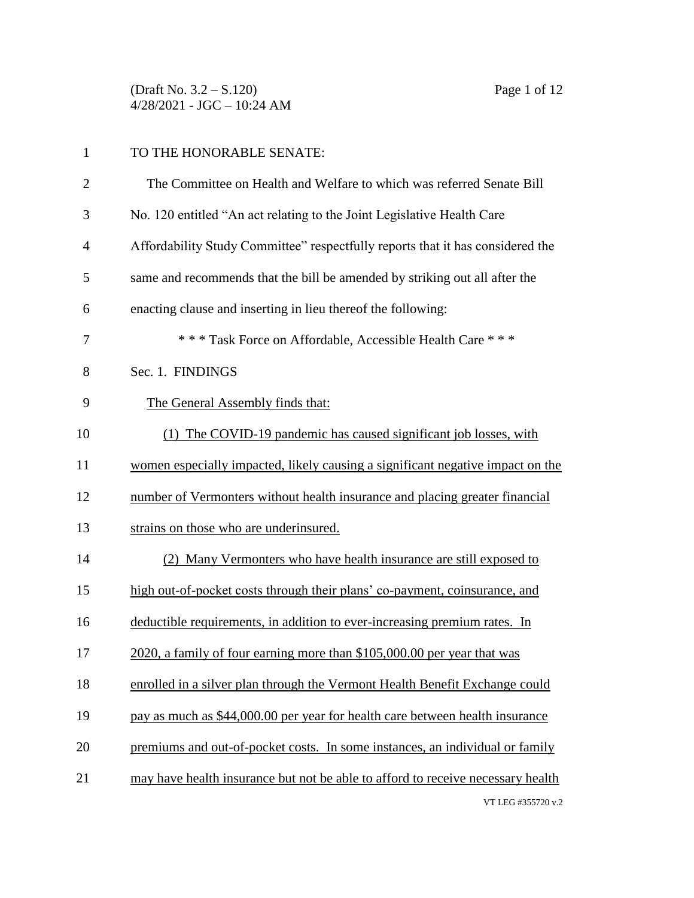(Draft No. 3.2 – S.120) Page 1 of 12 4/28/2021 - JGC – 10:24 AM

| 1              | TO THE HONORABLE SENATE:                                                        |  |
|----------------|---------------------------------------------------------------------------------|--|
| $\overline{2}$ | The Committee on Health and Welfare to which was referred Senate Bill           |  |
| 3              | No. 120 entitled "An act relating to the Joint Legislative Health Care          |  |
| 4              | Affordability Study Committee" respectfully reports that it has considered the  |  |
| 5              | same and recommends that the bill be amended by striking out all after the      |  |
| 6              | enacting clause and inserting in lieu thereof the following:                    |  |
| 7              | *** Task Force on Affordable, Accessible Health Care ***                        |  |
| 8              | Sec. 1. FINDINGS                                                                |  |
| 9              | The General Assembly finds that:                                                |  |
| 10             | (1) The COVID-19 pandemic has caused significant job losses, with               |  |
| 11             | women especially impacted, likely causing a significant negative impact on the  |  |
| 12             | number of Vermonters without health insurance and placing greater financial     |  |
| 13             | strains on those who are underinsured.                                          |  |
| 14             | (2) Many Vermonters who have health insurance are still exposed to              |  |
| 15             | high out-of-pocket costs through their plans' co-payment, coinsurance, and      |  |
| 16             | deductible requirements, in addition to ever-increasing premium rates. In       |  |
| 17             | 2020, a family of four earning more than \$105,000.00 per year that was         |  |
| 18             | enrolled in a silver plan through the Vermont Health Benefit Exchange could     |  |
| 19             | pay as much as \$44,000.00 per year for health care between health insurance    |  |
| 20             | premiums and out-of-pocket costs. In some instances, an individual or family    |  |
| 21             | may have health insurance but not be able to afford to receive necessary health |  |
|                | VT LEG #355720 v.2                                                              |  |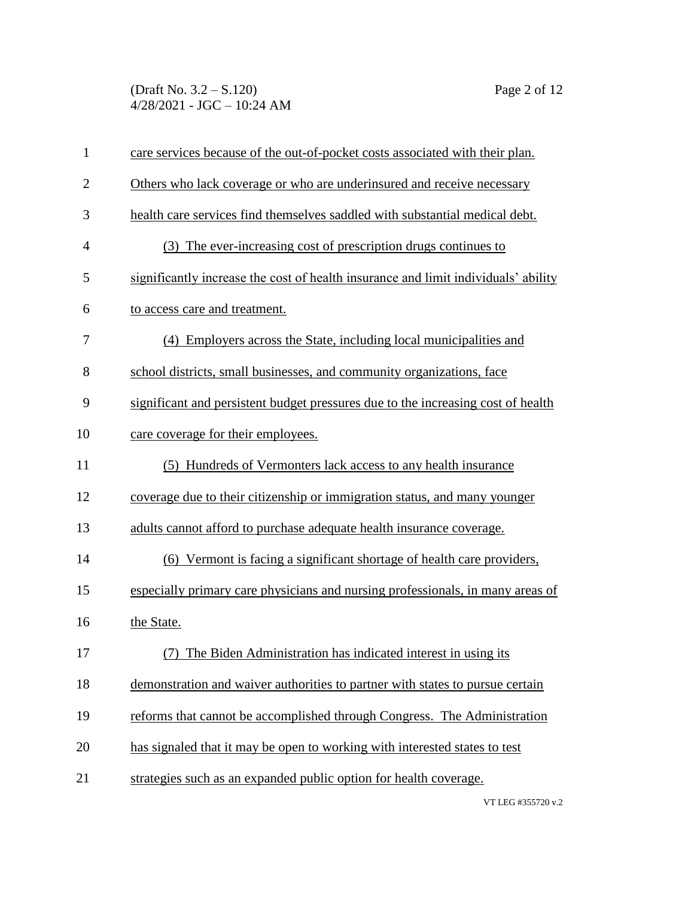(Draft No. 3.2 – S.120) Page 2 of 12 4/28/2021 - JGC – 10:24 AM

| $\mathbf{1}$   | care services because of the out-of-pocket costs associated with their plan.       |  |  |  |
|----------------|------------------------------------------------------------------------------------|--|--|--|
| $\overline{2}$ | Others who lack coverage or who are underinsured and receive necessary             |  |  |  |
| 3              | health care services find themselves saddled with substantial medical debt.        |  |  |  |
| 4              | (3) The ever-increasing cost of prescription drugs continues to                    |  |  |  |
| 5              | significantly increase the cost of health insurance and limit individuals' ability |  |  |  |
| 6              | to access care and treatment.                                                      |  |  |  |
| 7              | (4) Employers across the State, including local municipalities and                 |  |  |  |
| 8              | school districts, small businesses, and community organizations, face              |  |  |  |
| 9              | significant and persistent budget pressures due to the increasing cost of health   |  |  |  |
| 10             | care coverage for their employees.                                                 |  |  |  |
| 11             | (5) Hundreds of Vermonters lack access to any health insurance                     |  |  |  |
| 12             | coverage due to their citizenship or immigration status, and many younger          |  |  |  |
| 13             | adults cannot afford to purchase adequate health insurance coverage.               |  |  |  |
| 14             | (6) Vermont is facing a significant shortage of health care providers,             |  |  |  |
| 15             | especially primary care physicians and nursing professionals, in many areas of     |  |  |  |
| 16             | the State.                                                                         |  |  |  |
| 17             | (7) The Biden Administration has indicated interest in using its                   |  |  |  |
| 18             | demonstration and waiver authorities to partner with states to pursue certain      |  |  |  |
| 19             | reforms that cannot be accomplished through Congress. The Administration           |  |  |  |
| 20             | has signaled that it may be open to working with interested states to test         |  |  |  |
| 21             | strategies such as an expanded public option for health coverage.                  |  |  |  |
|                |                                                                                    |  |  |  |

VT LEG #355720 v.2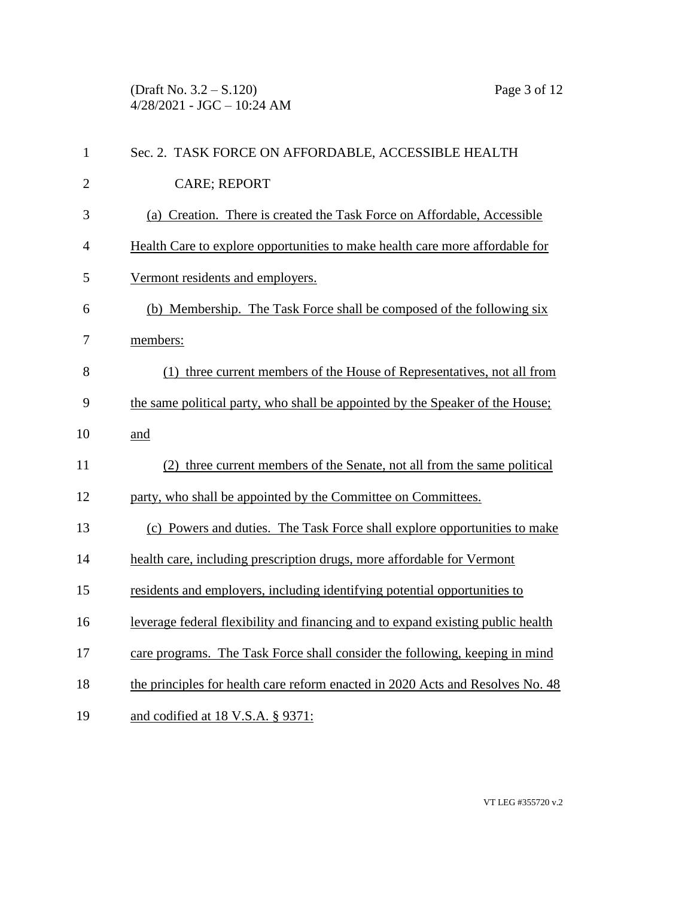(Draft No. 3.2 – S.120) Page 3 of 12 4/28/2021 - JGC – 10:24 AM

| $\mathbf{1}$   | Sec. 2. TASK FORCE ON AFFORDABLE, ACCESSIBLE HEALTH                             |
|----------------|---------------------------------------------------------------------------------|
| $\overline{2}$ | <b>CARE; REPORT</b>                                                             |
| 3              | (a) Creation. There is created the Task Force on Affordable, Accessible         |
| 4              | Health Care to explore opportunities to make health care more affordable for    |
| 5              | Vermont residents and employers.                                                |
| 6              | (b) Membership. The Task Force shall be composed of the following six           |
| 7              | members:                                                                        |
| 8              | (1) three current members of the House of Representatives, not all from         |
| 9              | the same political party, who shall be appointed by the Speaker of the House;   |
| 10             | and                                                                             |
| 11             | (2) three current members of the Senate, not all from the same political        |
| 12             | party, who shall be appointed by the Committee on Committees.                   |
| 13             | (c) Powers and duties. The Task Force shall explore opportunities to make       |
| 14             | health care, including prescription drugs, more affordable for Vermont          |
| 15             | residents and employers, including identifying potential opportunities to       |
| 16             | leverage federal flexibility and financing and to expand existing public health |
| 17             | care programs. The Task Force shall consider the following, keeping in mind     |
| 18             | the principles for health care reform enacted in 2020 Acts and Resolves No. 48  |
| 19             | and codified at 18 V.S.A. § 9371:                                               |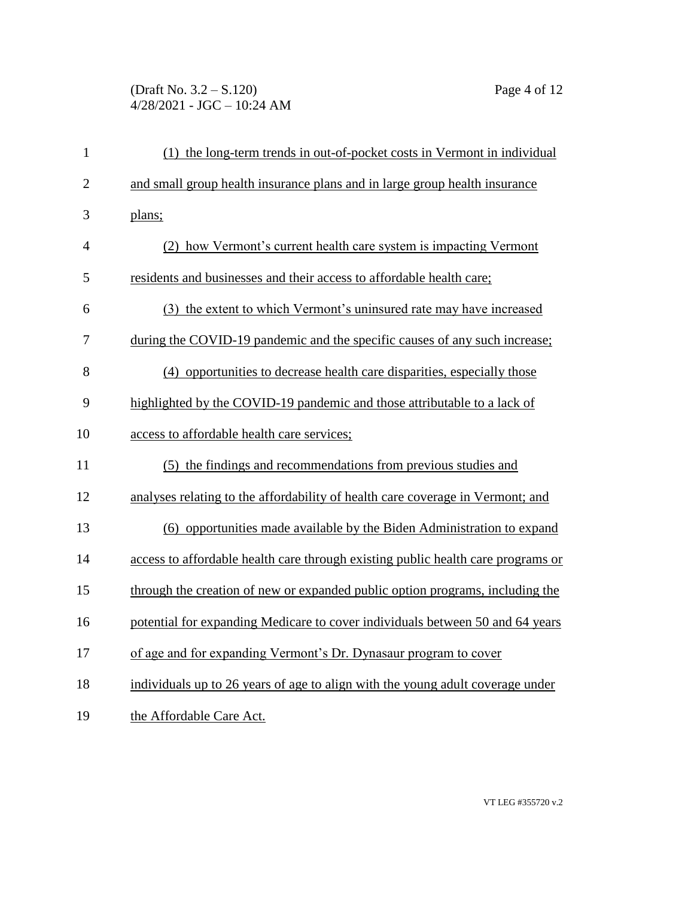## (Draft No. 3.2 – S.120) Page 4 of 12 4/28/2021 - JGC – 10:24 AM

| $\mathbf{1}$   | (1) the long-term trends in out-of-pocket costs in Vermont in individual         |  |  |  |
|----------------|----------------------------------------------------------------------------------|--|--|--|
| $\overline{2}$ | and small group health insurance plans and in large group health insurance       |  |  |  |
| 3              | plans;                                                                           |  |  |  |
| $\overline{4}$ | (2) how Vermont's current health care system is impacting Vermont                |  |  |  |
| 5              | residents and businesses and their access to affordable health care;             |  |  |  |
| 6              | (3) the extent to which Vermont's uninsured rate may have increased              |  |  |  |
| 7              | during the COVID-19 pandemic and the specific causes of any such increase;       |  |  |  |
| 8              | (4) opportunities to decrease health care disparities, especially those          |  |  |  |
| 9              | highlighted by the COVID-19 pandemic and those attributable to a lack of         |  |  |  |
| 10             | access to affordable health care services;                                       |  |  |  |
| 11             | (5) the findings and recommendations from previous studies and                   |  |  |  |
| 12             | analyses relating to the affordability of health care coverage in Vermont; and   |  |  |  |
| 13             | (6) opportunities made available by the Biden Administration to expand           |  |  |  |
| 14             | access to affordable health care through existing public health care programs or |  |  |  |
| 15             | through the creation of new or expanded public option programs, including the    |  |  |  |
| 16             | potential for expanding Medicare to cover individuals between 50 and 64 years    |  |  |  |
| 17             | of age and for expanding Vermont's Dr. Dynasaur program to cover                 |  |  |  |
| 18             | individuals up to 26 years of age to align with the young adult coverage under   |  |  |  |
| 19             | the Affordable Care Act.                                                         |  |  |  |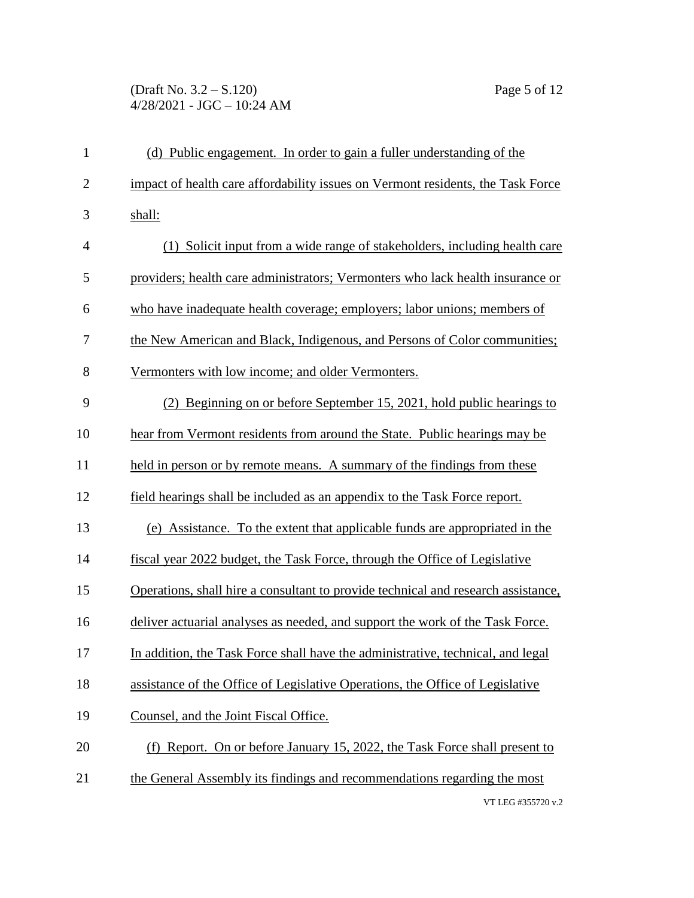## (Draft No. 3.2 – S.120) Page 5 of 12  $4/28/2021 - JGC - 10:24 AM$

| $\mathbf{1}$   | (d) Public engagement. In order to gain a fuller understanding of the             |  |
|----------------|-----------------------------------------------------------------------------------|--|
| $\overline{2}$ | impact of health care affordability issues on Vermont residents, the Task Force   |  |
| 3              | shall:                                                                            |  |
| $\overline{4}$ | (1) Solicit input from a wide range of stakeholders, including health care        |  |
| 5              | providers; health care administrators; Vermonters who lack health insurance or    |  |
| 6              | who have inadequate health coverage; employers; labor unions; members of          |  |
| 7              | the New American and Black, Indigenous, and Persons of Color communities;         |  |
| 8              | Vermonters with low income; and older Vermonters.                                 |  |
| 9              | (2) Beginning on or before September 15, 2021, hold public hearings to            |  |
| 10             | hear from Vermont residents from around the State. Public hearings may be         |  |
| 11             | held in person or by remote means. A summary of the findings from these           |  |
| 12             | field hearings shall be included as an appendix to the Task Force report.         |  |
| 13             | (e) Assistance. To the extent that applicable funds are appropriated in the       |  |
| 14             | fiscal year 2022 budget, the Task Force, through the Office of Legislative        |  |
| 15             | Operations, shall hire a consultant to provide technical and research assistance, |  |
| 16             | deliver actuarial analyses as needed, and support the work of the Task Force.     |  |
| 17             | In addition, the Task Force shall have the administrative, technical, and legal   |  |
| 18             | assistance of the Office of Legislative Operations, the Office of Legislative     |  |
| 19             | Counsel, and the Joint Fiscal Office.                                             |  |
| 20             | (f) Report. On or before January 15, 2022, the Task Force shall present to        |  |
| 21             | the General Assembly its findings and recommendations regarding the most          |  |
|                | VT LEG #355720 v.2                                                                |  |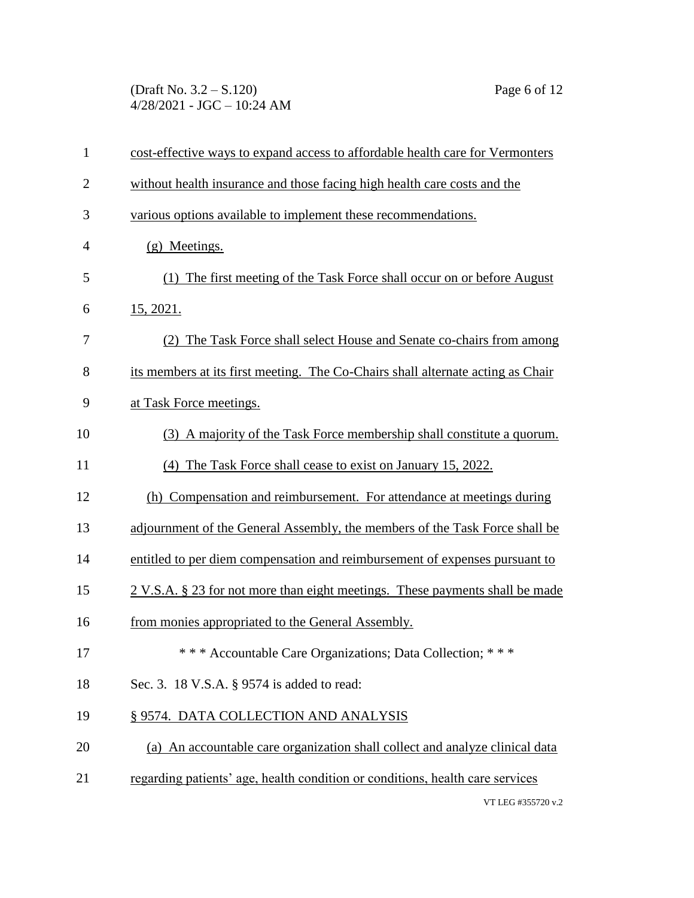(Draft No. 3.2 – S.120) Page 6 of 12 4/28/2021 - JGC – 10:24 AM

| $\mathbf{1}$   | cost-effective ways to expand access to affordable health care for Vermonters            |
|----------------|------------------------------------------------------------------------------------------|
| $\overline{2}$ | without health insurance and those facing high health care costs and the                 |
| 3              | various options available to implement these recommendations.                            |
| $\overline{4}$ | (g) Meetings.                                                                            |
| 5              | (1) The first meeting of the Task Force shall occur on or before August                  |
| 6              | 15, 2021.                                                                                |
| 7              | (2) The Task Force shall select House and Senate co-chairs from among                    |
| 8              | its members at its first meeting. The Co-Chairs shall alternate acting as Chair          |
| 9              | at Task Force meetings.                                                                  |
| 10             | (3) A majority of the Task Force membership shall constitute a quorum.                   |
| 11             | (4) The Task Force shall cease to exist on January 15, 2022.                             |
| 12             | (h) Compensation and reimbursement. For attendance at meetings during                    |
| 13             | adjournment of the General Assembly, the members of the Task Force shall be              |
| 14             | entitled to per diem compensation and reimbursement of expenses pursuant to              |
| 15             | $2 \text{ V.S.A. }$ \$ 23 for not more than eight meetings. These payments shall be made |
| 16             | from monies appropriated to the General Assembly.                                        |
| 17             | *** Accountable Care Organizations; Data Collection; ***                                 |
| 18             | Sec. 3. 18 V.S.A. § 9574 is added to read:                                               |
| 19             | § 9574. DATA COLLECTION AND ANALYSIS                                                     |
| 20             | (a) An accountable care organization shall collect and analyze clinical data             |
| 21             | regarding patients' age, health condition or conditions, health care services            |
|                | VT LEG #355720 $\frac{1}{2}$ 2                                                           |

VT LEG #355720 v.2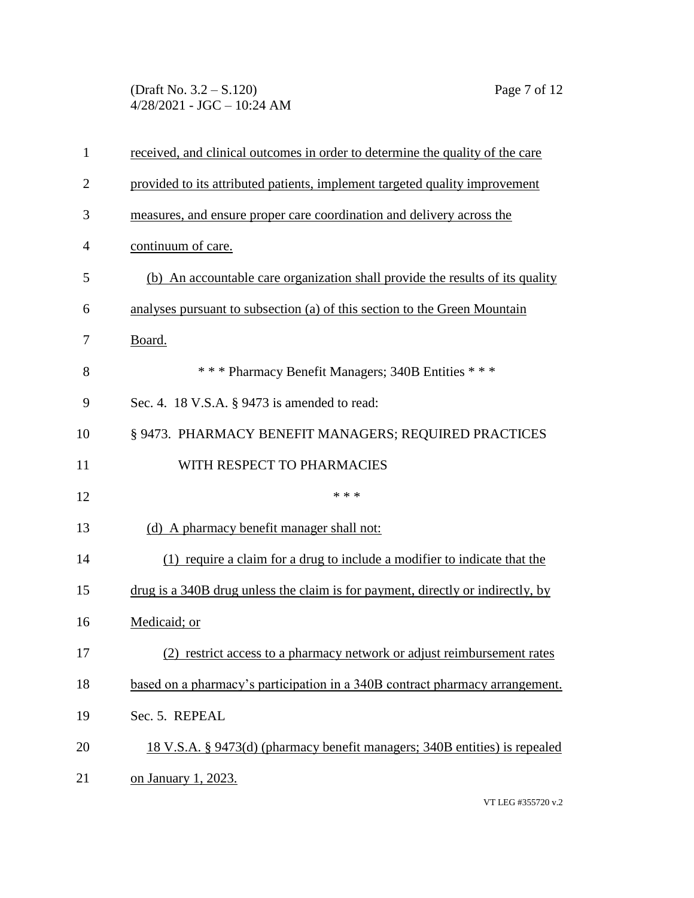(Draft No. 3.2 – S.120) Page 7 of 12 4/28/2021 - JGC – 10:24 AM

| $\mathbf{1}$   | received, and clinical outcomes in order to determine the quality of the care   |  |  |  |
|----------------|---------------------------------------------------------------------------------|--|--|--|
| $\overline{2}$ | provided to its attributed patients, implement targeted quality improvement     |  |  |  |
| 3              | measures, and ensure proper care coordination and delivery across the           |  |  |  |
| 4              | continuum of care.                                                              |  |  |  |
| 5              | (b) An accountable care organization shall provide the results of its quality   |  |  |  |
| 6              | analyses pursuant to subsection (a) of this section to the Green Mountain       |  |  |  |
| 7              | Board.                                                                          |  |  |  |
| 8              | *** Pharmacy Benefit Managers; 340B Entities ***                                |  |  |  |
| 9              | Sec. 4. 18 V.S.A. § 9473 is amended to read:                                    |  |  |  |
| 10             | § 9473. PHARMACY BENEFIT MANAGERS; REQUIRED PRACTICES                           |  |  |  |
| 11             | WITH RESPECT TO PHARMACIES                                                      |  |  |  |
| 12             | * * *                                                                           |  |  |  |
| 13             | (d) A pharmacy benefit manager shall not:                                       |  |  |  |
| 14             | (1) require a claim for a drug to include a modifier to indicate that the       |  |  |  |
| 15             | drug is a 340B drug unless the claim is for payment, directly or indirectly, by |  |  |  |
| 16             | Medicaid; or                                                                    |  |  |  |
| 17             | (2) restrict access to a pharmacy network or adjust reimbursement rates         |  |  |  |
| 18             | based on a pharmacy's participation in a 340B contract pharmacy arrangement.    |  |  |  |
| 19             | Sec. 5. REPEAL                                                                  |  |  |  |
| 20             | 18 V.S.A. § 9473(d) (pharmacy benefit managers; 340B entities) is repealed      |  |  |  |
| 21             | on January 1, 2023.                                                             |  |  |  |

VT LEG #355720 v.2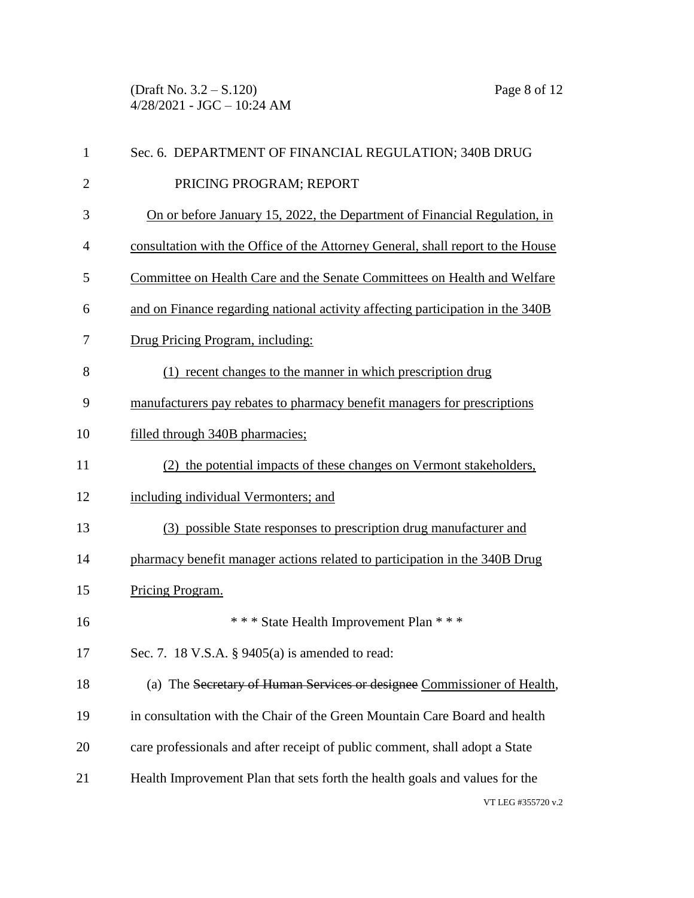(Draft No. 3.2 – S.120) Page 8 of 12  $4/28/2021 - JGC - 10:24 AM$ 

| $\mathbf{1}$   | Sec. 6. DEPARTMENT OF FINANCIAL REGULATION; 340B DRUG                           |  |  |  |
|----------------|---------------------------------------------------------------------------------|--|--|--|
| $\overline{2}$ | PRICING PROGRAM; REPORT                                                         |  |  |  |
| 3              | On or before January 15, 2022, the Department of Financial Regulation, in       |  |  |  |
| 4              | consultation with the Office of the Attorney General, shall report to the House |  |  |  |
| 5              | Committee on Health Care and the Senate Committees on Health and Welfare        |  |  |  |
| 6              | and on Finance regarding national activity affecting participation in the 340B  |  |  |  |
| 7              | Drug Pricing Program, including:                                                |  |  |  |
| 8              | (1) recent changes to the manner in which prescription drug                     |  |  |  |
| 9              | manufacturers pay rebates to pharmacy benefit managers for prescriptions        |  |  |  |
| 10             | filled through 340B pharmacies;                                                 |  |  |  |
| 11             | (2) the potential impacts of these changes on Vermont stakeholders,             |  |  |  |
| 12             | including individual Vermonters; and                                            |  |  |  |
| 13             | (3) possible State responses to prescription drug manufacturer and              |  |  |  |
| 14             | pharmacy benefit manager actions related to participation in the 340B Drug      |  |  |  |
| 15             | Pricing Program.                                                                |  |  |  |
| 16             | *** State Health Improvement Plan ***                                           |  |  |  |
| 17             | Sec. 7. 18 V.S.A. $\S$ 9405(a) is amended to read:                              |  |  |  |
| 18             | (a) The Secretary of Human Services or designee Commissioner of Health,         |  |  |  |
| 19             | in consultation with the Chair of the Green Mountain Care Board and health      |  |  |  |
| 20             | care professionals and after receipt of public comment, shall adopt a State     |  |  |  |
| 21             | Health Improvement Plan that sets forth the health goals and values for the     |  |  |  |
|                | VT LEG #355720 v.2                                                              |  |  |  |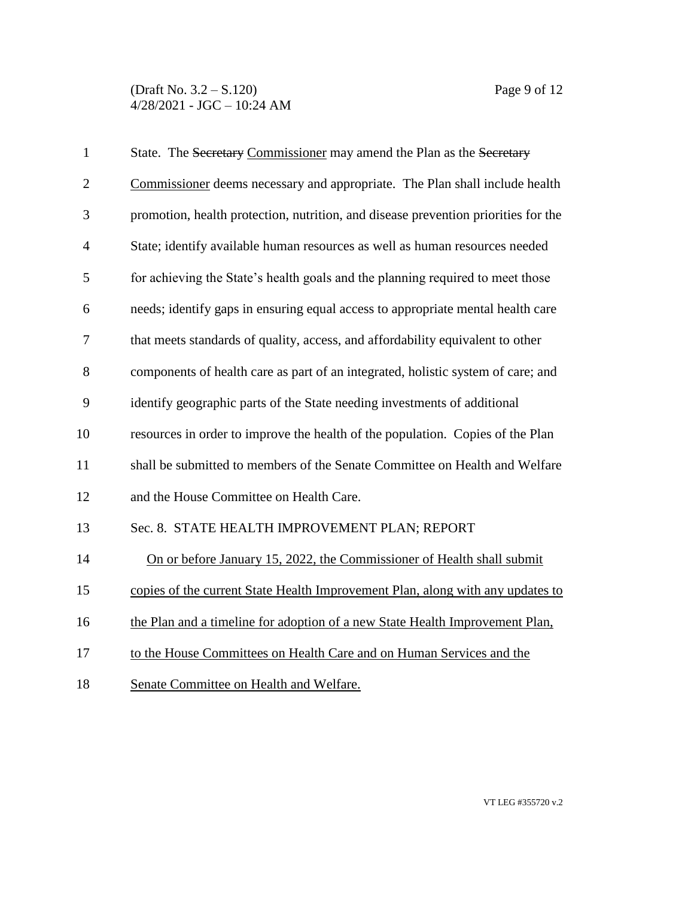(Draft No. 3.2 – S.120) Page 9 of 12 4/28/2021 - JGC – 10:24 AM

| $\mathbf{1}$   | State. The Secretary Commissioner may amend the Plan as the Secretary              |  |
|----------------|------------------------------------------------------------------------------------|--|
| $\overline{2}$ | Commissioner deems necessary and appropriate. The Plan shall include health        |  |
| 3              | promotion, health protection, nutrition, and disease prevention priorities for the |  |
| $\overline{4}$ | State; identify available human resources as well as human resources needed        |  |
| 5              | for achieving the State's health goals and the planning required to meet those     |  |
| 6              | needs; identify gaps in ensuring equal access to appropriate mental health care    |  |
| 7              | that meets standards of quality, access, and affordability equivalent to other     |  |
| 8              | components of health care as part of an integrated, holistic system of care; and   |  |
| 9              | identify geographic parts of the State needing investments of additional           |  |
| 10             | resources in order to improve the health of the population. Copies of the Plan     |  |
| 11             | shall be submitted to members of the Senate Committee on Health and Welfare        |  |
| 12             | and the House Committee on Health Care.                                            |  |
| 13             | Sec. 8. STATE HEALTH IMPROVEMENT PLAN; REPORT                                      |  |
| 14             | On or before January 15, 2022, the Commissioner of Health shall submit             |  |
| 15             | copies of the current State Health Improvement Plan, along with any updates to     |  |
| 16             | the Plan and a timeline for adoption of a new State Health Improvement Plan.       |  |
| 17             | to the House Committees on Health Care and on Human Services and the               |  |
| 18             | Senate Committee on Health and Welfare.                                            |  |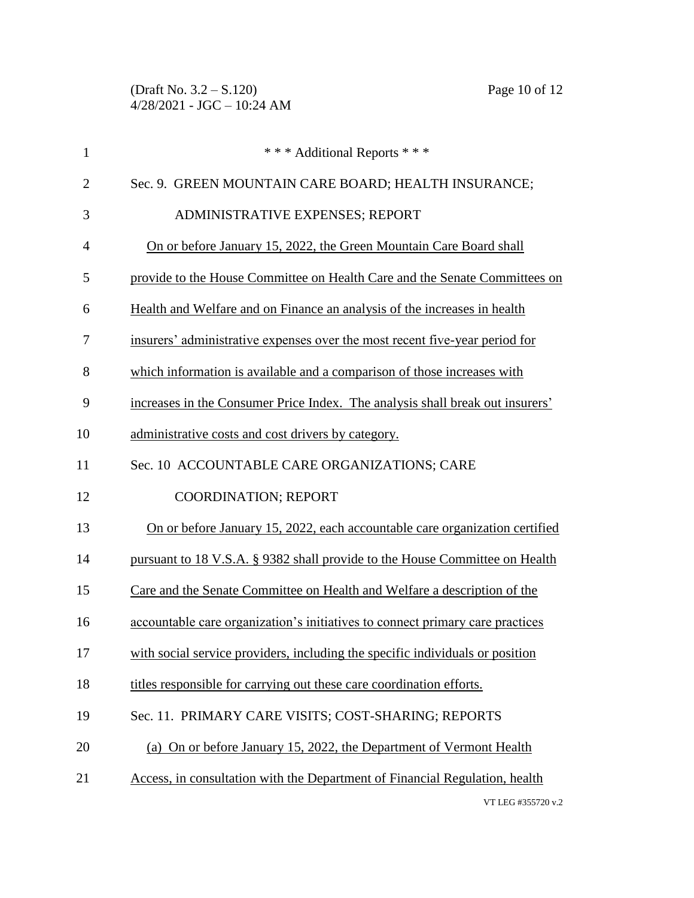| $\mathbf{1}$   | *** Additional Reports ***                                                    |
|----------------|-------------------------------------------------------------------------------|
| $\overline{2}$ | Sec. 9. GREEN MOUNTAIN CARE BOARD; HEALTH INSURANCE;                          |
| 3              | ADMINISTRATIVE EXPENSES; REPORT                                               |
| $\overline{4}$ | On or before January 15, 2022, the Green Mountain Care Board shall            |
| 5              | provide to the House Committee on Health Care and the Senate Committees on    |
| 6              | Health and Welfare and on Finance an analysis of the increases in health      |
| 7              | insurers' administrative expenses over the most recent five-year period for   |
| 8              | which information is available and a comparison of those increases with       |
| 9              | increases in the Consumer Price Index. The analysis shall break out insurers' |
| 10             | administrative costs and cost drivers by category.                            |
| 11             | Sec. 10 ACCOUNTABLE CARE ORGANIZATIONS; CARE                                  |
| 12             | <b>COORDINATION; REPORT</b>                                                   |
| 13             | On or before January 15, 2022, each accountable care organization certified   |
| 14             | pursuant to 18 V.S.A. § 9382 shall provide to the House Committee on Health   |
| 15             | Care and the Senate Committee on Health and Welfare a description of the      |
| 16             | accountable care organization's initiatives to connect primary care practices |
| 17             | with social service providers, including the specific individuals or position |
| 18             | titles responsible for carrying out these care coordination efforts.          |
| 19             | Sec. 11. PRIMARY CARE VISITS; COST-SHARING; REPORTS                           |
| 20             | (a) On or before January 15, 2022, the Department of Vermont Health           |
| 21             | Access, in consultation with the Department of Financial Regulation, health   |
|                | VT LEG #355720 v.2                                                            |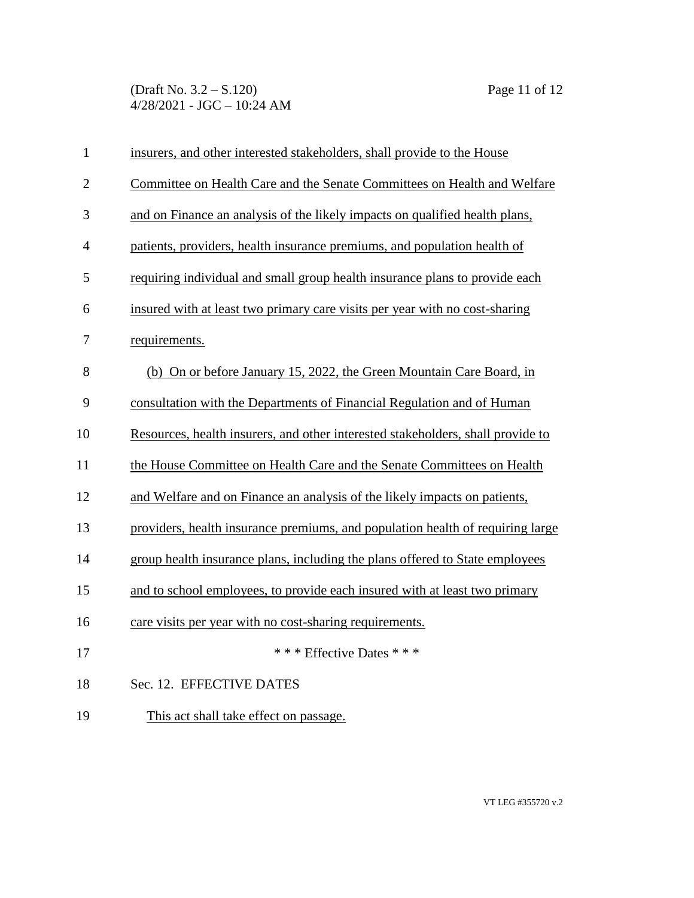(Draft No. 3.2 – S.120) Page 11 of 12 4/28/2021 - JGC – 10:24 AM

| $\mathbf{1}$   | insurers, and other interested stakeholders, shall provide to the House         |  |  |
|----------------|---------------------------------------------------------------------------------|--|--|
| $\overline{2}$ | Committee on Health Care and the Senate Committees on Health and Welfare        |  |  |
| 3              | and on Finance an analysis of the likely impacts on qualified health plans,     |  |  |
| 4              | patients, providers, health insurance premiums, and population health of        |  |  |
| 5              | requiring individual and small group health insurance plans to provide each     |  |  |
| 6              | insured with at least two primary care visits per year with no cost-sharing     |  |  |
| 7              | requirements.                                                                   |  |  |
| 8              | (b) On or before January 15, 2022, the Green Mountain Care Board, in            |  |  |
| 9              | consultation with the Departments of Financial Regulation and of Human          |  |  |
| 10             | Resources, health insurers, and other interested stakeholders, shall provide to |  |  |
| 11             | the House Committee on Health Care and the Senate Committees on Health          |  |  |
| 12             | and Welfare and on Finance an analysis of the likely impacts on patients,       |  |  |
| 13             | providers, health insurance premiums, and population health of requiring large  |  |  |
| 14             | group health insurance plans, including the plans offered to State employees    |  |  |
| 15             | and to school employees, to provide each insured with at least two primary      |  |  |
| 16             | care visits per year with no cost-sharing requirements.                         |  |  |
| 17             | * * * Effective Dates * * *                                                     |  |  |
| 18             | Sec. 12. EFFECTIVE DATES                                                        |  |  |
| 19             | This act shall take effect on passage.                                          |  |  |